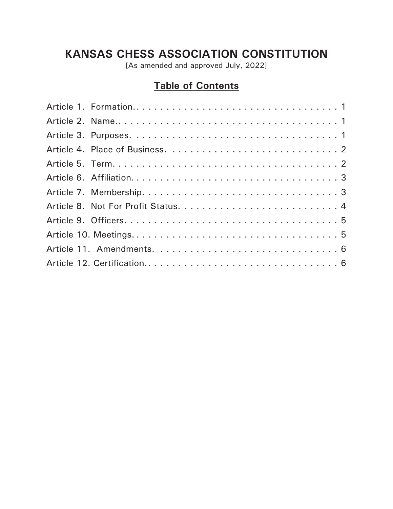# **KANSAS CHESS ASSOCIATION CONSTITUTION**

[As amended and approved July, 2022]

# **Table of Contents**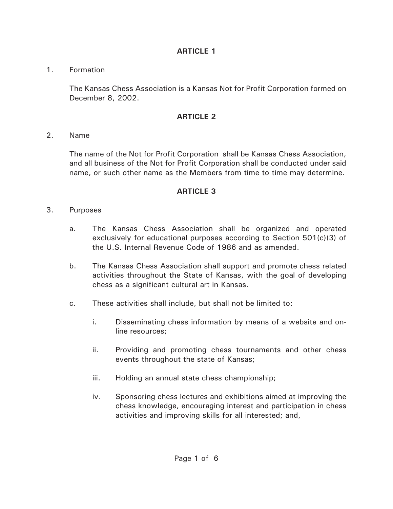1. Formation

The Kansas Chess Association is a Kansas Not for Profit Corporation formed on December 8, 2002.

#### **ARTICLE 2**

2. Name

The name of the Not for Profit Corporation shall be Kansas Chess Association, and all business of the Not for Profit Corporation shall be conducted under said name, or such other name as the Members from time to time may determine.

- 3. Purposes
	- a. The Kansas Chess Association shall be organized and operated exclusively for educational purposes according to Section 501(c)(3) of the U.S. Internal Revenue Code of 1986 and as amended.
	- b. The Kansas Chess Association shall support and promote chess related activities throughout the State of Kansas, with the goal of developing chess as a significant cultural art in Kansas.
	- c. These activities shall include, but shall not be limited to:
		- i. Disseminating chess information by means of a website and online resources;
		- ii. Providing and promoting chess tournaments and other chess events throughout the state of Kansas;
		- iii. Holding an annual state chess championship;
		- iv. Sponsoring chess lectures and exhibitions aimed at improving the chess knowledge, encouraging interest and participation in chess activities and improving skills for all interested; and,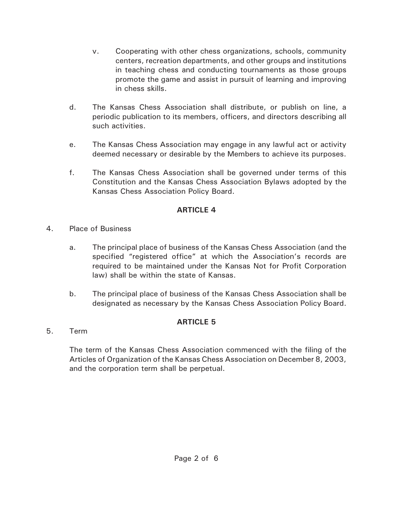- v. Cooperating with other chess organizations, schools, community centers, recreation departments, and other groups and institutions in teaching chess and conducting tournaments as those groups promote the game and assist in pursuit of learning and improving in chess skills.
- d. The Kansas Chess Association shall distribute, or publish on line, a periodic publication to its members, officers, and directors describing all such activities.
- e. The Kansas Chess Association may engage in any lawful act or activity deemed necessary or desirable by the Members to achieve its purposes.
- f. The Kansas Chess Association shall be governed under terms of this Constitution and the Kansas Chess Association Bylaws adopted by the Kansas Chess Association Policy Board.

- 4. Place of Business
	- a. The principal place of business of the Kansas Chess Association (and the specified "registered office" at which the Association's records are required to be maintained under the Kansas Not for Profit Corporation law) shall be within the state of Kansas.
	- b. The principal place of business of the Kansas Chess Association shall be designated as necessary by the Kansas Chess Association Policy Board.

### **ARTICLE 5**

5. Term

The term of the Kansas Chess Association commenced with the filing of the Articles of Organization of the Kansas Chess Association on December 8, 2003, and the corporation term shall be perpetual.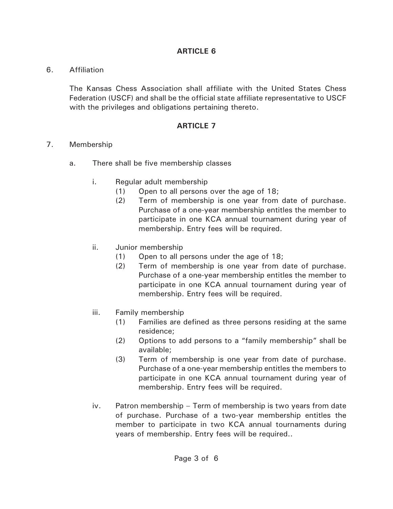#### 6. Affiliation

The Kansas Chess Association shall affiliate with the United States Chess Federation (USCF) and shall be the official state affiliate representative to USCF with the privileges and obligations pertaining thereto.

- 7. Membership
	- a. There shall be five membership classes
		- i. Regular adult membership
			- (1) Open to all persons over the age of 18;
			- (2) Term of membership is one year from date of purchase. Purchase of a one-year membership entitles the member to participate in one KCA annual tournament during year of membership. Entry fees will be required.
		- ii. Junior membership
			- (1) Open to all persons under the age of 18;
			- (2) Term of membership is one year from date of purchase. Purchase of a one-year membership entitles the member to participate in one KCA annual tournament during year of membership. Entry fees will be required.
		- iii. Family membership
			- (1) Families are defined as three persons residing at the same residence;
			- (2) Options to add persons to a "family membership" shall be available;
			- (3) Term of membership is one year from date of purchase. Purchase of a one-year membership entitles the members to participate in one KCA annual tournament during year of membership. Entry fees will be required.
		- iv. Patron membership Term of membership is two years from date of purchase. Purchase of a two-year membership entitles the member to participate in two KCA annual tournaments during years of membership. Entry fees will be required..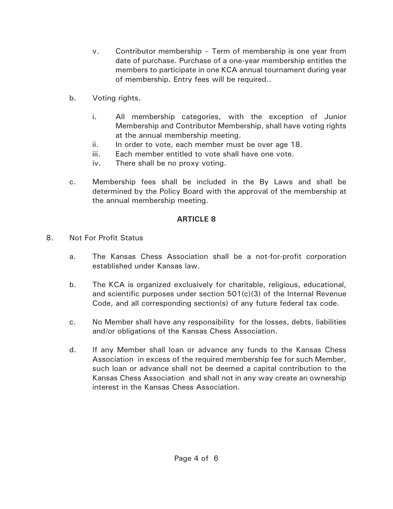- v. Contributor membership Term of membership is one year from date of purchase. Purchase of a one-year membership entitles the members to participate in one KCA annual tournament during year of membership. Entry fees will be required..
- b. Voting rights.
	- i. All membership categories, with the exception of Junior Membership and Contributor Membership, shall have voting rights at the annual membership meeting.
	- ii. In order to vote, each member must be over age 18.
	- iii. Each member entitled to vote shall have one vote.
	- iv. There shall be no proxy voting.
- c. Membership fees shall be included in the By Laws and shall be determined by the Policy Board with the approval of the membership at the annual membership meeting.

- 8. Not For Profit Status
	- a. The Kansas Chess Association shall be a not-for-profit corporation established under Kansas law.
	- b. The KCA is organized exclusively for charitable, religious, educational, and scientific purposes under section  $501(c)(3)$  of the Internal Revenue Code, and all corresponding section(s) of any future federal tax code.
	- c. No Member shall have any responsibility for the losses, debts, liabilities and/or obligations of the Kansas Chess Association.
	- d. If any Member shall loan or advance any funds to the Kansas Chess Association in excess of the required membership fee for such Member, such loan or advance shall not be deemed a capital contribution to the Kansas Chess Association and shall not in any way create an ownership interest in the Kansas Chess Association.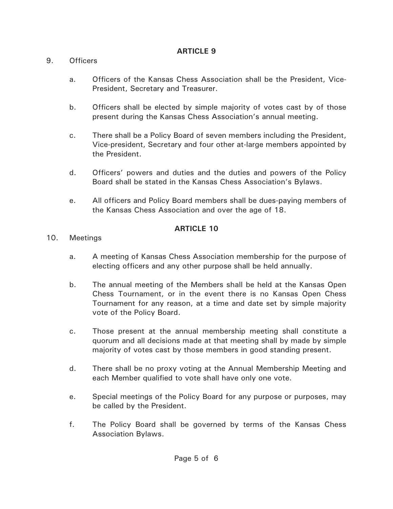### 9. Officers

- a. Officers of the Kansas Chess Association shall be the President, Vice-President, Secretary and Treasurer.
- b. Officers shall be elected by simple majority of votes cast by of those present during the Kansas Chess Association's annual meeting.
- c. There shall be a Policy Board of seven members including the President, Vice-president, Secretary and four other at-large members appointed by the President.
- d. Officers' powers and duties and the duties and powers of the Policy Board shall be stated in the Kansas Chess Association's Bylaws.
- e. All officers and Policy Board members shall be dues-paying members of the Kansas Chess Association and over the age of 18.

- 10. Meetings
	- a. A meeting of Kansas Chess Association membership for the purpose of electing officers and any other purpose shall be held annually.
	- b. The annual meeting of the Members shall be held at the Kansas Open Chess Tournament, or in the event there is no Kansas Open Chess Tournament for any reason, at a time and date set by simple majority vote of the Policy Board.
	- c. Those present at the annual membership meeting shall constitute a quorum and all decisions made at that meeting shall by made by simple majority of votes cast by those members in good standing present.
	- d. There shall be no proxy voting at the Annual Membership Meeting and each Member qualified to vote shall have only one vote.
	- e. Special meetings of the Policy Board for any purpose or purposes, may be called by the President.
	- f. The Policy Board shall be governed by terms of the Kansas Chess Association Bylaws.